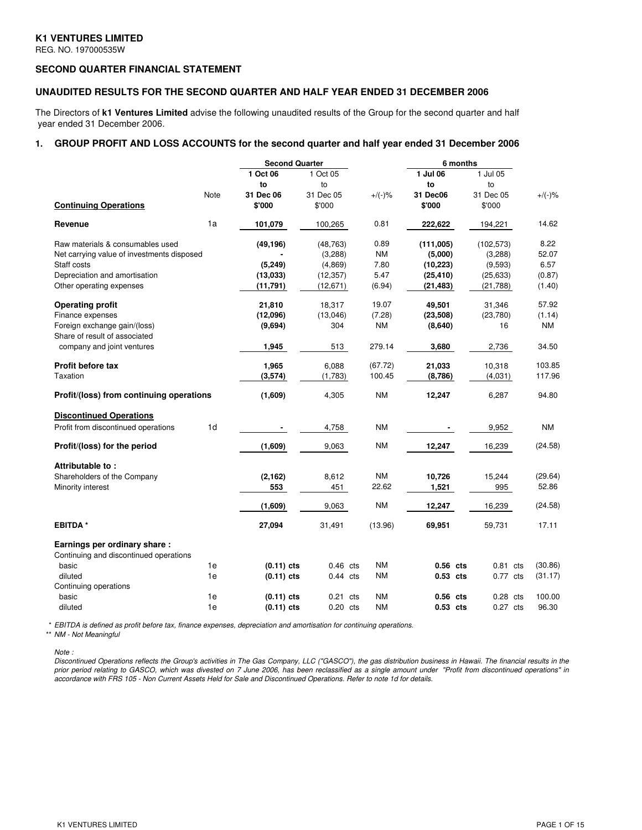# **K1 VENTURES LIMITED**

REG. NO. 197000535W

# **SECOND QUARTER FINANCIAL STATEMENT**

### **UNAUDITED RESULTS FOR THE SECOND QUARTER AND HALF YEAR ENDED 31 DECEMBER 2006**

The Directors of **k1 Ventures Limited** advise the following unaudited results of the Group for the second quarter and half year ended 31 December 2006.

# **1. GROUP PROFIT AND LOSS ACCOUNTS for the second quarter and half year ended 31 December 2006**

|                                                                        |                | <b>Second Quarter</b> |            |                        | 6 months   |            |                 |
|------------------------------------------------------------------------|----------------|-----------------------|------------|------------------------|------------|------------|-----------------|
|                                                                        |                | 1 Oct 06              | 1 Oct 05   |                        | 1 Jul 06   | 1 Jul 05   |                 |
|                                                                        |                | to                    | to         |                        | to         | to         |                 |
|                                                                        | Note           | 31 Dec 06             | 31 Dec 05  | $+/(-)$ %              | 31 Dec06   | 31 Dec 05  | $+/(-)\%$       |
| <b>Continuing Operations</b>                                           |                | \$'000                | \$'000     |                        | \$'000     | \$'000     |                 |
| Revenue                                                                | 1a             | 101,079               | 100,265    | 0.81                   | 222,622    | 194,221    | 14.62           |
| Raw materials & consumables used                                       |                | (49, 196)             | (48, 763)  | 0.89                   | (111,005)  | (102, 573) | 8.22            |
| Net carrying value of investments disposed                             |                |                       | (3,288)    | <b>NM</b>              | (5,000)    | (3,288)    | 52.07           |
| Staff costs                                                            |                | (5, 249)              | (4,869)    | 7.80                   | (10, 223)  | (9,593)    | 6.57            |
| Depreciation and amortisation                                          |                | (13,033)              | (12, 357)  | 5.47                   | (25, 410)  | (25, 633)  | (0.87)          |
| Other operating expenses                                               |                | (11, 791)             | (12,671)   | (6.94)                 | (21, 483)  | (21,788)   | (1.40)          |
| <b>Operating profit</b>                                                |                | 21,810                | 18,317     | 19.07                  | 49,501     | 31,346     | 57.92           |
| Finance expenses                                                       |                | (12,096)              | (13,046)   | (7.28)                 | (23, 508)  | (23,780)   | (1.14)          |
| Foreign exchange gain/(loss)                                           |                | (9,694)               | 304        | NM                     | (8,640)    | 16         | <b>NM</b>       |
| Share of result of associated<br>company and joint ventures            |                | 1,945                 | 513        | 279.14                 | 3,680      | 2,736      | 34.50           |
| Profit before tax                                                      |                | 1,965                 | 6,088      | (67.72)                | 21,033     | 10,318     | 103.85          |
| Taxation                                                               |                | (3,574)               | (1,783)    | 100.45                 | (8,786)    | (4,031)    | 117.96          |
| Profit/(loss) from continuing operations                               |                | (1,609)               | 4,305      | <b>NM</b>              | 12,247     | 6,287      | 94.80           |
| <b>Discontinued Operations</b>                                         |                |                       |            |                        |            |            |                 |
| Profit from discontinued operations                                    | 1 <sub>d</sub> |                       | 4,758      | <b>NM</b>              |            | 9,952      | <b>NM</b>       |
| Profit/(loss) for the period                                           |                | (1,609)               | 9,063      | <b>NM</b>              | 12,247     | 16,239     | (24.58)         |
| Attributable to:                                                       |                |                       |            |                        |            |            |                 |
| Shareholders of the Company                                            |                | (2, 162)              | 8,612      | <b>NM</b>              | 10,726     | 15,244     | (29.64)         |
| Minority interest                                                      |                | 553                   | 451        | 22.62                  | 1,521      | 995        | 52.86           |
|                                                                        |                | (1,609)               | 9,063      | NΜ                     | 12,247     | 16,239     | (24.58)         |
| <b>EBITDA*</b>                                                         |                | 27,094                | 31,491     | (13.96)                | 69,951     | 59,731     | 17.11           |
| Earnings per ordinary share:<br>Continuing and discontinued operations |                |                       |            |                        |            |            |                 |
| basic                                                                  | 1e             | $(0.11)$ cts          | $0.46$ cts | <b>NM</b>              | $0.56$ cts | $0.81$ cts | (30.86)         |
| diluted                                                                | 1e             | $(0.11)$ cts          |            | <b>NM</b>              | 0.53 cts   | $0.77$ cts | (31.17)         |
|                                                                        |                |                       | $0.44$ cts |                        |            |            |                 |
| Continuing operations                                                  |                |                       |            |                        |            |            |                 |
| basic                                                                  | 1e             | $(0.11)$ cts          | $0.21$ cts | <b>NM</b><br><b>NM</b> | 0.56 cts   | $0.28$ cts | 100.00<br>96.30 |
| diluted                                                                | 1e             | $(0.11)$ cts          | $0.20$ cts |                        | 0.53 cts   | $0.27$ cts |                 |

\* *EBITDA is defined as profit before tax, finance expenses, depreciation and amortisation for continuing operations.*

\*\* *NM - Not Meaningful*

*Note :*

Discontinued Operations reflects the Group's activities in The Gas Company, LLC ("GASCO"), the gas distribution business in Hawaii. The financial results in the prior period relating to GASCO, which was divested on 7 June 2006, has been reclassified as a single amount under "Profit from discontinued operations" in accordance with FRS 105 - Non Current Assets Held for Sale and Discontinued Operations. Refer to note 1d for details.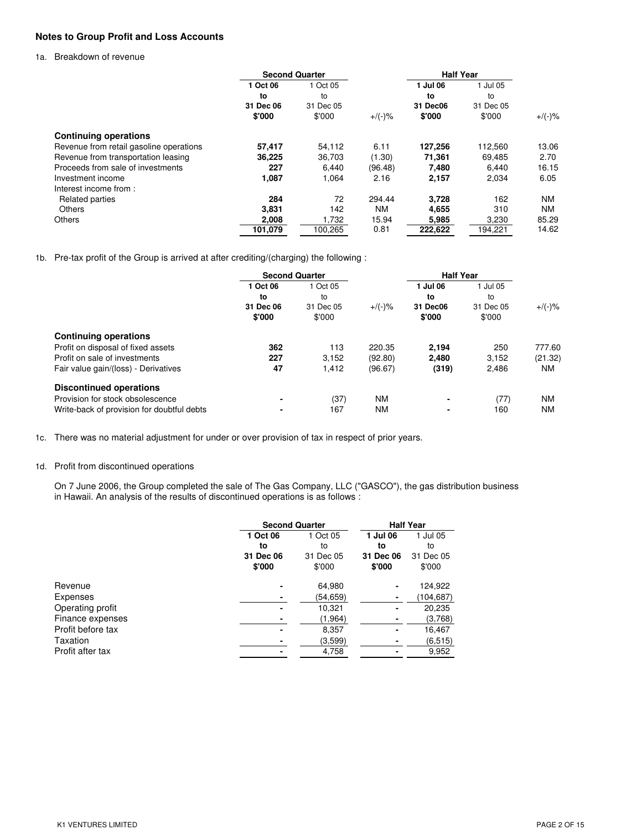# **Notes to Group Profit and Loss Accounts**

### 1a. Breakdown of revenue

|                                         | <b>Second Quarter</b> |           |           | <b>Half Year</b> |           |           |
|-----------------------------------------|-----------------------|-----------|-----------|------------------|-----------|-----------|
|                                         | 1 Oct 06              | 1 Oct 05  |           | 1 Jul 06         | 1 Jul 05  |           |
|                                         | to                    | to        |           | to               | to        |           |
|                                         | 31 Dec 06             | 31 Dec 05 |           | 31 Dec06         | 31 Dec 05 |           |
|                                         | \$'000                | \$'000    | $+/(-)$ % | \$'000           | \$'000    | $+$ /(-)% |
| <b>Continuing operations</b>            |                       |           |           |                  |           |           |
| Revenue from retail gasoline operations | 57,417                | 54.112    | 6.11      | 127,256          | 112.560   | 13.06     |
| Revenue from transportation leasing     | 36,225                | 36,703    | (1.30)    | 71.361           | 69.485    | 2.70      |
| Proceeds from sale of investments       | 227                   | 6.440     | (96.48)   | 7.480            | 6.440     | 16.15     |
| Investment income                       | 1,087                 | 1,064     | 2.16      | 2,157            | 2,034     | 6.05      |
| Interest income from:                   |                       |           |           |                  |           |           |
| Related parties                         | 284                   | 72        | 294.44    | 3,728            | 162       | <b>NM</b> |
| <b>Others</b>                           | 3,831                 | 142       | ΝM        | 4,655            | 310       | <b>NM</b> |
| Others                                  | 2,008                 | 1,732     | 15.94     | 5,985            | 3,230     | 85.29     |
|                                         | 101,079               | 100,265   | 0.81      | 222.622          | 194,221   | 14.62     |

1b. Pre-tax profit of the Group is arrived at after crediting/(charging) the following :

| <b>Second Quarter</b> |           |           | <b>Half Year</b> |           |           |
|-----------------------|-----------|-----------|------------------|-----------|-----------|
| 1 Oct 06              | 1 Oct 05  |           | 1 Jul 06         | 1 Jul 05  |           |
| to                    | to        |           | to               | to        |           |
| 31 Dec 06             | 31 Dec 05 | $+/(-)$ % | 31 Dec06         | 31 Dec 05 | $+/(-)$ % |
| \$'000                | \$'000    |           | \$'000           | \$'000    |           |
|                       |           |           |                  |           |           |
| 362                   | 113       | 220.35    | 2,194            | 250       | 777.60    |
| 227                   | 3,152     | (92.80)   | 2,480            | 3,152     | (21.32)   |
| 47                    | 1.412     | (96.67)   | (319)            | 2,486     | <b>NM</b> |
|                       |           |           |                  |           |           |
|                       | (37)      | <b>NM</b> | ٠                | (77)      | <b>NM</b> |
|                       | 167       | <b>NM</b> | ٠                | 160       | <b>NM</b> |
|                       |           |           |                  |           |           |

1c. There was no material adjustment for under or over provision of tax in respect of prior years.

### 1d. Profit from discontinued operations

On 7 June 2006, the Group completed the sale of The Gas Company, LLC ("GASCO"), the gas distribution business in Hawaii. An analysis of the results of discontinued operations is as follows :

|                   | <b>Second Quarter</b> |           | <b>Half Year</b> |            |  |
|-------------------|-----------------------|-----------|------------------|------------|--|
|                   | 1 Oct 06              | 1 Oct 05  | 1 Jul 06         | 1 Jul 05   |  |
|                   | to                    | to        | to               | to         |  |
|                   | 31 Dec 06             | 31 Dec 05 | 31 Dec 06        | 31 Dec 05  |  |
|                   | \$'000                | \$'000    | \$'000           | \$'000     |  |
| Revenue           |                       | 64,980    |                  | 124,922    |  |
| Expenses          |                       | (54,659)  | ٠                | (104, 687) |  |
| Operating profit  | $\blacksquare$        | 10,321    |                  | 20,235     |  |
| Finance expenses  |                       | (1, 964)  |                  | (3,768)    |  |
| Profit before tax | $\blacksquare$        | 8,357     |                  | 16,467     |  |
| Taxation          |                       | (3,599)   |                  | (6,515)    |  |
| Profit after tax  |                       | 4,758     |                  | 9,952      |  |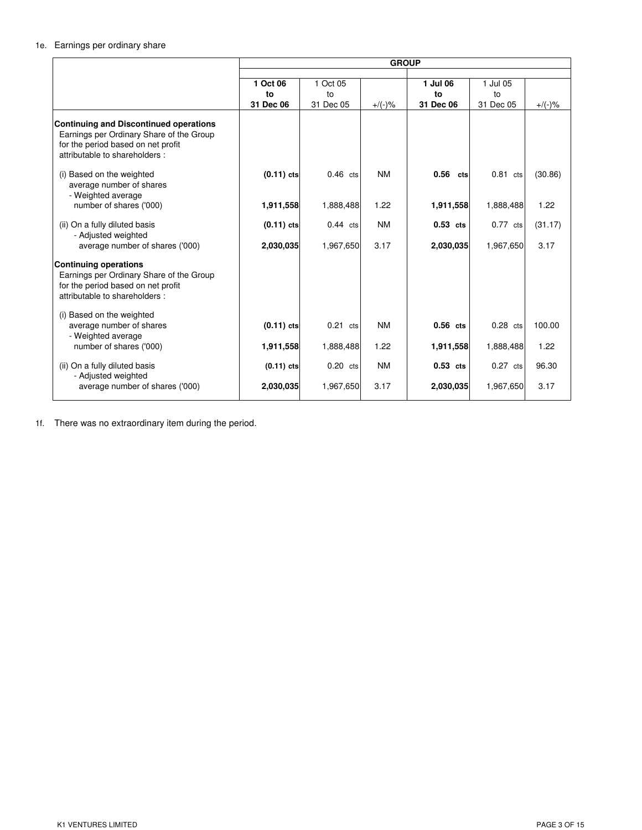# 1e. Earnings per ordinary share

|                                                                                                                                                                  | <b>GROUP</b> |            |           |             |            |           |
|------------------------------------------------------------------------------------------------------------------------------------------------------------------|--------------|------------|-----------|-------------|------------|-----------|
|                                                                                                                                                                  |              |            |           |             |            |           |
|                                                                                                                                                                  | 1 Oct 06     | 1 Oct 05   |           | 1 Jul 06    | 1 Jul 05   |           |
|                                                                                                                                                                  | to           | to         |           | to          | to         |           |
|                                                                                                                                                                  | 31 Dec 06    | 31 Dec 05  | $+/(-)$ % | 31 Dec 06   | 31 Dec 05  | $+/(-)$ % |
| <b>Continuing and Discontinued operations</b><br>Earnings per Ordinary Share of the Group<br>for the period based on net profit<br>attributable to shareholders: |              |            |           |             |            |           |
| (i) Based on the weighted<br>average number of shares<br>- Weighted average                                                                                      | $(0.11)$ cts | $0.46$ cts | <b>NM</b> | 0.56<br>cts | $0.81$ cts | (30.86)   |
| number of shares ('000)                                                                                                                                          | 1,911,558    | 1,888,488  | 1.22      | 1,911,558   | 1,888,488  | 1.22      |
| (ii) On a fully diluted basis<br>- Adjusted weighted                                                                                                             | $(0.11)$ cts | $0.44$ cts | <b>NM</b> | $0.53$ cts  | $0.77$ cts | (31.17)   |
| average number of shares ('000)                                                                                                                                  | 2,030,035    | 1,967,650  | 3.17      | 2,030,035   | 1,967,650  | 3.17      |
| <b>Continuing operations</b><br>Earnings per Ordinary Share of the Group<br>for the period based on net profit<br>attributable to shareholders:                  |              |            |           |             |            |           |
| (i) Based on the weighted<br>average number of shares<br>- Weighted average                                                                                      | $(0.11)$ cts | $0.21$ cts | <b>NM</b> | $0.56$ cts  | $0.28$ cts | 100.00    |
| number of shares ('000)                                                                                                                                          | 1,911,558    | 1,888,488  | 1.22      | 1,911,558   | 1,888,488  | 1.22      |
| (ii) On a fully diluted basis<br>- Adjusted weighted                                                                                                             | $(0.11)$ cts | $0.20$ cts | <b>NM</b> | $0.53$ cts  | $0.27$ cts | 96.30     |
| average number of shares ('000)                                                                                                                                  | 2,030,035    | 1,967,650  | 3.17      | 2,030,035   | 1,967,650  | 3.17      |

1f. There was no extraordinary item during the period.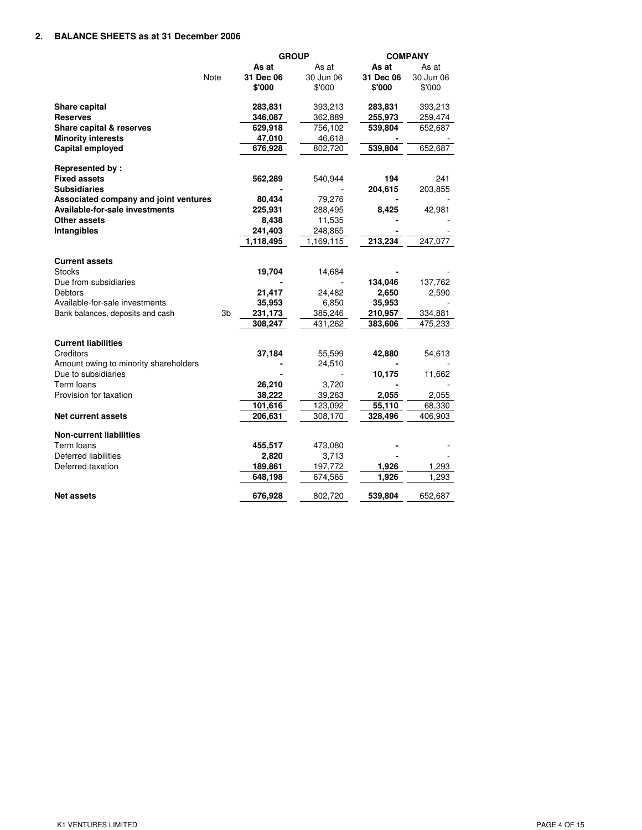### **2. BALANCE SHEETS as at 31 December 2006**

|                                       |                |           | <b>GROUP</b> |           | <b>COMPANY</b> |
|---------------------------------------|----------------|-----------|--------------|-----------|----------------|
|                                       |                | As at     | As at        | As at     | As at          |
| Note                                  |                | 31 Dec 06 | 30 Jun 06    | 31 Dec 06 | 30 Jun 06      |
|                                       |                | \$'000    | \$'000       | \$'000    | \$'000         |
|                                       |                |           |              |           |                |
| Share capital                         |                | 283,831   | 393,213      | 283,831   | 393,213        |
| <b>Reserves</b>                       |                | 346,087   | 362,889      | 255,973   | 259,474        |
| Share capital & reserves              |                | 629,918   | 756,102      | 539,804   | 652,687        |
| <b>Minority interests</b>             |                | 47,010    | 46,618       |           |                |
| Capital employed                      |                | 676,928   | 802,720      | 539,804   | 652,687        |
| Represented by:                       |                |           |              |           |                |
| <b>Fixed assets</b>                   |                | 562,289   | 540,944      | 194       | 241            |
| <b>Subsidiaries</b>                   |                |           |              | 204,615   | 203,855        |
| Associated company and joint ventures |                | 80,434    | 79,276       |           |                |
| Available-for-sale investments        |                | 225,931   | 288,495      | 8,425     | 42,981         |
| Other assets                          |                | 8,438     | 11,535       |           |                |
| Intangibles                           |                | 241,403   | 248,865      |           |                |
|                                       |                | 1,118,495 | 1,169,115    | 213,234   | 247,077        |
|                                       |                |           |              |           |                |
| <b>Current assets</b>                 |                |           |              |           |                |
| <b>Stocks</b>                         |                | 19,704    | 14,684       |           |                |
| Due from subsidiaries                 |                |           |              | 134,046   | 137,762        |
| <b>Debtors</b>                        |                | 21,417    | 24,482       | 2,650     | 2,590          |
| Available-for-sale investments        |                | 35,953    | 6,850        | 35,953    |                |
| Bank balances, deposits and cash      | 3 <sub>b</sub> | 231,173   | 385,246      | 210,957   | 334,881        |
|                                       |                | 308,247   | 431,262      | 383,606   | 475,233        |
| <b>Current liabilities</b>            |                |           |              |           |                |
| Creditors                             |                | 37,184    | 55,599       | 42,880    | 54,613         |
| Amount owing to minority shareholders |                |           | 24,510       |           |                |
| Due to subsidiaries                   |                |           |              | 10,175    | 11,662         |
| Term loans                            |                | 26,210    | 3,720        |           |                |
| Provision for taxation                |                | 38,222    | 39,263       | 2,055     | 2,055          |
|                                       |                | 101,616   | 123,092      | 55,110    | 68,330         |
| <b>Net current assets</b>             |                | 206,631   | 308,170      | 328,496   | 406,903        |
| <b>Non-current liabilities</b>        |                |           |              |           |                |
| Term loans                            |                | 455,517   | 473,080      |           |                |
| Deferred liabilities                  |                | 2,820     | 3,713        |           |                |
| Deferred taxation                     |                | 189,861   | 197,772      | 1,926     | 1,293          |
|                                       |                | 648,198   | 674,565      | 1,926     | 1,293          |
|                                       |                |           |              |           |                |
| <b>Net assets</b>                     |                | 676,928   | 802,720      | 539,804   | 652,687        |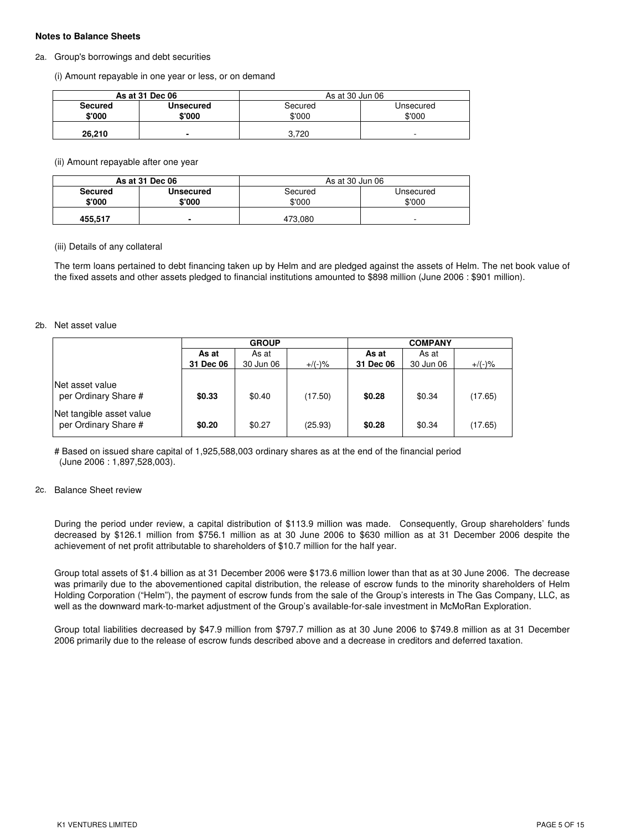### **Notes to Balance Sheets**

#### 2a. Group's borrowings and debt securities

(i) Amount repayable in one year or less, or on demand

|                | As at 31 Dec 06  | As at 30 Jun 06 |           |
|----------------|------------------|-----------------|-----------|
| <b>Secured</b> | <b>Unsecured</b> | Secured         | Unsecured |
| \$'000         | \$'000           | \$'000          | \$'000    |
| 26.210         | -                | 3.720           | -         |

### (ii) Amount repayable after one year

|                          | As at 31 Dec 06     | As at 30 Jun 06   |                     |
|--------------------------|---------------------|-------------------|---------------------|
| <b>Secured</b><br>\$'000 | Unsecured<br>\$'000 | Secured<br>\$'000 | Unsecured<br>\$'000 |
| 455.517                  | $\blacksquare$      | 473.080           |                     |

#### (iii) Details of any collateral

The term loans pertained to debt financing taken up by Helm and are pledged against the assets of Helm. The net book value of the fixed assets and other assets pledged to financial institutions amounted to \$898 million (June 2006 : \$901 million).

#### 2b. Net asset value

|                                                  | <b>GROUP</b> |           |           | <b>COMPANY</b> |           |           |  |
|--------------------------------------------------|--------------|-----------|-----------|----------------|-----------|-----------|--|
|                                                  | As at        | As at     |           | As at          | As at     |           |  |
|                                                  | 31 Dec 06    | 30 Jun 06 | $+$ /(-)% | 31 Dec 06      | 30 Jun 06 | $+/(-)$ % |  |
| Net asset value<br>per Ordinary Share #          | \$0.33       | \$0.40    | (17.50)   | \$0.28         | \$0.34    | (17.65)   |  |
| Net tangible asset value<br>per Ordinary Share # | \$0.20       | \$0.27    | (25.93)   | \$0.28         | \$0.34    | (17.65)   |  |

# Based on issued share capital of 1,925,588,003 ordinary shares as at the end of the financial period (June 2006 : 1,897,528,003).

### 2c. Balance Sheet review

During the period under review, a capital distribution of \$113.9 million was made. Consequently, Group shareholders' funds decreased by \$126.1 million from \$756.1 million as at 30 June 2006 to \$630 million as at 31 December 2006 despite the achievement of net profit attributable to shareholders of \$10.7 million for the half year.

Group total assets of \$1.4 billion as at 31 December 2006 were \$173.6 million lower than that as at 30 June 2006. The decrease was primarily due to the abovementioned capital distribution, the release of escrow funds to the minority shareholders of Helm Holding Corporation ("Helm"), the payment of escrow funds from the sale of the Group's interests in The Gas Company, LLC, as well as the downward mark-to-market adjustment of the Group's available-for-sale investment in McMoRan Exploration.

Group total liabilities decreased by \$47.9 million from \$797.7 million as at 30 June 2006 to \$749.8 million as at 31 December 2006 primarily due to the release of escrow funds described above and a decrease in creditors and deferred taxation.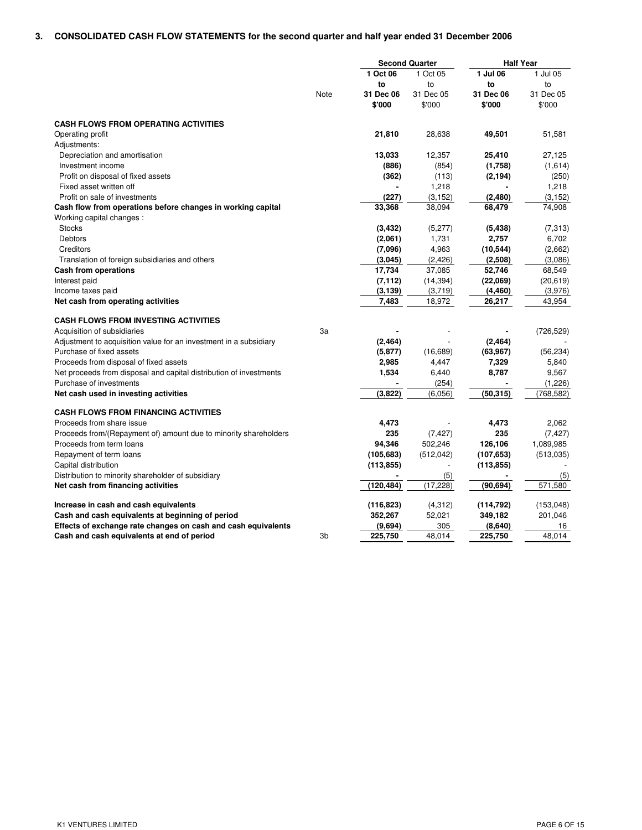# **3. CONSOLIDATED CASH FLOW STATEMENTS for the second quarter and half year ended 31 December 2006**

|                                                                                               |      |            | <b>Second Quarter</b> |            | <b>Half Year</b> |
|-----------------------------------------------------------------------------------------------|------|------------|-----------------------|------------|------------------|
|                                                                                               |      | 1 Oct 06   | 1 Oct 05              | 1 Jul 06   | 1 Jul 05         |
|                                                                                               |      | to         | to                    | to         | to               |
|                                                                                               | Note | 31 Dec 06  | 31 Dec 05             | 31 Dec 06  | 31 Dec 05        |
|                                                                                               |      | \$'000     | \$'000                | \$'000     | \$'000           |
| <b>CASH FLOWS FROM OPERATING ACTIVITIES</b>                                                   |      |            |                       |            |                  |
| Operating profit                                                                              |      | 21,810     | 28,638                | 49,501     | 51,581           |
| Adjustments:                                                                                  |      |            |                       |            |                  |
| Depreciation and amortisation                                                                 |      | 13,033     | 12,357                | 25,410     | 27,125           |
| Investment income                                                                             |      | (886)      | (854)                 | (1,758)    | (1,614)          |
| Profit on disposal of fixed assets                                                            |      | (362)      | (113)                 | (2, 194)   | (250)            |
| Fixed asset written off                                                                       |      |            | 1,218                 |            | 1,218            |
| Profit on sale of investments                                                                 |      | (227)      | (3, 152)              | (2,480)    | (3, 152)         |
| Cash flow from operations before changes in working capital                                   |      | 33,368     | 38,094                | 68,479     | 74,908           |
| Working capital changes :                                                                     |      |            |                       |            |                  |
| <b>Stocks</b>                                                                                 |      | (3, 432)   | (5,277)               | (5, 438)   | (7, 313)         |
| <b>Debtors</b>                                                                                |      | (2,061)    | 1,731                 | 2,757      | 6,702            |
| Creditors                                                                                     |      | (7,096)    | 4,963                 | (10, 544)  | (2,662)          |
| Translation of foreign subsidiaries and others                                                |      | (3,045)    | (2, 426)              | (2,508)    | (3,086)          |
| <b>Cash from operations</b>                                                                   |      | 17,734     | 37,085                | 52,746     | 68,549           |
| Interest paid                                                                                 |      | (7, 112)   | (14, 394)             | (22,069)   | (20, 619)        |
| Income taxes paid                                                                             |      | (3, 139)   | (3,719)               | (4, 460)   | (3,976)          |
| Net cash from operating activities                                                            |      | 7,483      | 18,972                | 26,217     | 43,954           |
| <b>CASH FLOWS FROM INVESTING ACTIVITIES</b>                                                   |      |            |                       |            |                  |
| Acquisition of subsidiaries                                                                   | 3a   |            |                       |            | (726, 529)       |
|                                                                                               |      | (2, 464)   |                       | (2, 464)   |                  |
| Adjustment to acquisition value for an investment in a subsidiary<br>Purchase of fixed assets |      | (5, 877)   | (16, 689)             | (63, 967)  | (56, 234)        |
|                                                                                               |      | 2,985      | 4,447                 | 7,329      | 5,840            |
| Proceeds from disposal of fixed assets                                                        |      | 1,534      | 6,440                 | 8,787      | 9,567            |
| Net proceeds from disposal and capital distribution of investments<br>Purchase of investments |      |            | (254)                 |            | (1,226)          |
| Net cash used in investing activities                                                         |      | (3,822)    | (6,056)               | (50, 315)  | (768, 582)       |
|                                                                                               |      |            |                       |            |                  |
| <b>CASH FLOWS FROM FINANCING ACTIVITIES</b>                                                   |      |            |                       |            |                  |
| Proceeds from share issue                                                                     |      | 4,473      |                       | 4,473      | 2,062            |
| Proceeds from/(Repayment of) amount due to minority shareholders                              |      | 235        | (7, 427)              | 235        | (7, 427)         |
| Proceeds from term loans                                                                      |      | 94,346     | 502,246               | 126,106    | 1,089,985        |
| Repayment of term loans                                                                       |      | (105, 683) | (512, 042)            | (107, 653) | (513,035)        |
| Capital distribution                                                                          |      | (113, 855) | $\overline{a}$        | (113, 855) |                  |
| Distribution to minority shareholder of subsidiary                                            |      |            | (5)                   |            | (5)              |
| Net cash from financing activities                                                            |      | (120, 484) | (17, 228)             | (90, 694)  | 571,580          |
| Increase in cash and cash equivalents                                                         |      | (116, 823) | (4,312)               | (114, 792) | (153, 048)       |
| Cash and cash equivalents at beginning of period                                              |      | 352,267    | 52,021                | 349,182    | 201,046          |
| Effects of exchange rate changes on cash and cash equivalents                                 |      | (9,694)    | 305                   | (8,640)    | 16               |
| Cash and cash equivalents at end of period                                                    | 3b   | 225,750    | 48.014                | 225,750    | 48.014           |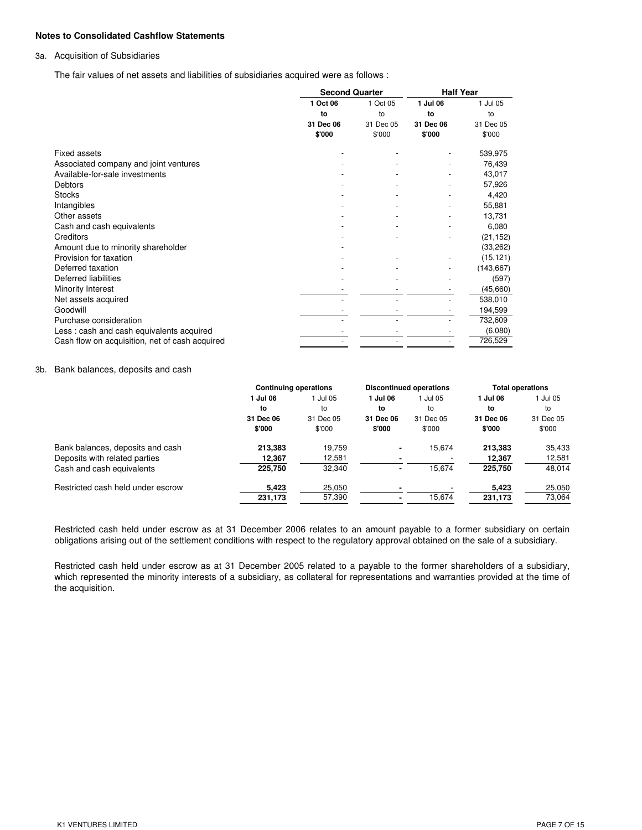### **Notes to Consolidated Cashflow Statements**

### 3a. Acquisition of Subsidiaries

The fair values of net assets and liabilities of subsidiaries acquired were as follows :

|                                                | <b>Second Quarter</b> |           | <b>Half Year</b> |            |
|------------------------------------------------|-----------------------|-----------|------------------|------------|
|                                                | 1 Oct 06              | 1 Oct 05  | 1 Jul 06         | 1 Jul 05   |
|                                                | to                    | to        | to               | to         |
|                                                | 31 Dec 06             | 31 Dec 05 | 31 Dec 06        | 31 Dec 05  |
|                                                | \$'000                | \$'000    | \$'000           | \$'000     |
| <b>Fixed assets</b>                            |                       |           |                  | 539,975    |
| Associated company and joint ventures          |                       |           |                  | 76,439     |
| Available-for-sale investments                 |                       |           |                  | 43,017     |
| Debtors                                        |                       |           |                  | 57,926     |
| <b>Stocks</b>                                  |                       |           |                  | 4,420      |
| Intangibles                                    |                       |           |                  | 55,881     |
| Other assets                                   |                       |           |                  | 13,731     |
| Cash and cash equivalents                      |                       |           |                  | 6,080      |
| Creditors                                      |                       |           |                  | (21, 152)  |
| Amount due to minority shareholder             |                       |           |                  | (33, 262)  |
| Provision for taxation                         |                       |           |                  | (15, 121)  |
| Deferred taxation                              |                       |           |                  | (143, 667) |
| Deferred liabilities                           |                       |           |                  | (597)      |
| Minority Interest                              |                       |           |                  | (45,660)   |
| Net assets acquired                            |                       |           |                  | 538,010    |
| Goodwill                                       |                       |           |                  | 194,599    |
| Purchase consideration                         |                       |           |                  | 732,609    |
| Less: cash and cash equivalents acquired       |                       |           |                  | (6,080)    |
| Cash flow on acquisition, net of cash acquired |                       |           |                  | 726,529    |

#### 3b. Bank balances, deposits and cash

|                                   |           | <b>Discontinued operations</b><br><b>Continuing operations</b> |           | <b>Total operations</b> |           |           |
|-----------------------------------|-----------|----------------------------------------------------------------|-----------|-------------------------|-----------|-----------|
|                                   | 1 Jul 06  | 1 Jul 05                                                       | 1 Jul 06  | 1 Jul 05                | 1 Jul 06  | 1 Jul 05  |
|                                   | to        | to                                                             | to        | to                      | to        | to        |
|                                   | 31 Dec 06 | 31 Dec 05                                                      | 31 Dec 06 | 31 Dec 05               | 31 Dec 06 | 31 Dec 05 |
|                                   | \$'000    | \$'000                                                         | \$'000    | \$'000                  | \$'000    | \$'000    |
| Bank balances, deposits and cash  | 213.383   | 19.759                                                         | ٠         | 15.674                  | 213.383   | 35,433    |
| Deposits with related parties     | 12,367    | 12,581                                                         | ۰         |                         | 12,367    | 12,581    |
| Cash and cash equivalents         | 225,750   | 32,340                                                         | ٠         | 15.674                  | 225.750   | 48,014    |
| Restricted cash held under escrow | 5,423     | 25,050                                                         |           |                         | 5,423     | 25,050    |
|                                   | 231,173   | 57,390                                                         | ۰         | 15.674                  | 231,173   | 73,064    |
|                                   |           |                                                                |           |                         |           |           |

Restricted cash held under escrow as at 31 December 2006 relates to an amount payable to a former subsidiary on certain obligations arising out of the settlement conditions with respect to the regulatory approval obtained on the sale of a subsidiary.

Restricted cash held under escrow as at 31 December 2005 related to a payable to the former shareholders of a subsidiary, which represented the minority interests of a subsidiary, as collateral for representations and warranties provided at the time of the acquisition.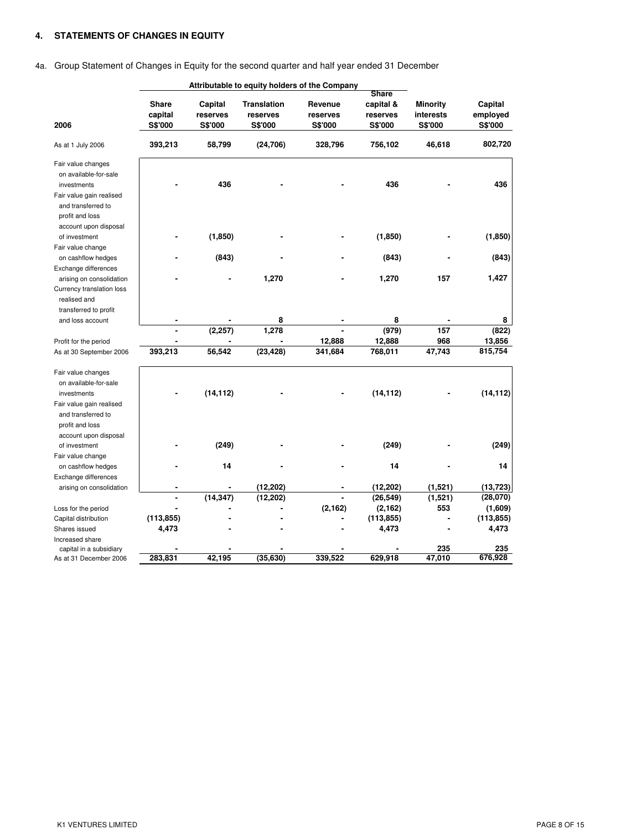# **4. STATEMENTS OF CHANGES IN EQUITY**

# 4a. Group Statement of Changes in Equity for the second quarter and half year ended 31 December

|                           |                | Attributable to equity holders of the Company |                    |                |                |                 |                |
|---------------------------|----------------|-----------------------------------------------|--------------------|----------------|----------------|-----------------|----------------|
|                           |                |                                               |                    |                | <b>Share</b>   |                 |                |
|                           | <b>Share</b>   | Capital                                       | <b>Translation</b> | Revenue        | capital &      | <b>Minority</b> | Capital        |
|                           | capital        | reserves                                      | reserves           | reserves       | reserves       | interests       | employed       |
| 2006                      | <b>S\$'000</b> | <b>S\$'000</b>                                | <b>S\$'000</b>     | <b>S\$'000</b> | <b>S\$'000</b> | <b>S\$'000</b>  | <b>S\$'000</b> |
| As at 1 July 2006         | 393,213        | 58,799                                        | (24, 706)          | 328,796        | 756,102        | 46,618          | 802,720        |
| Fair value changes        |                |                                               |                    |                |                |                 |                |
| on available-for-sale     |                |                                               |                    |                |                |                 |                |
| investments               |                | 436                                           |                    |                | 436            |                 | 436            |
| Fair value gain realised  |                |                                               |                    |                |                |                 |                |
| and transferred to        |                |                                               |                    |                |                |                 |                |
| profit and loss           |                |                                               |                    |                |                |                 |                |
| account upon disposal     |                |                                               |                    |                |                |                 |                |
| of investment             |                | (1,850)                                       |                    |                | (1,850)        |                 | (1, 850)       |
| Fair value change         |                |                                               |                    |                |                |                 |                |
| on cashflow hedges        |                | (843)                                         |                    |                | (843)          |                 | (843)          |
| Exchange differences      |                |                                               |                    |                |                |                 |                |
| arising on consolidation  |                |                                               | 1,270              |                | 1,270          | 157             | 1,427          |
|                           |                |                                               |                    |                |                |                 |                |
| Currency translation loss |                |                                               |                    |                |                |                 |                |
| realised and              |                |                                               |                    |                |                |                 |                |
| transferred to profit     |                |                                               |                    |                |                |                 |                |
| and loss account          |                |                                               | 8                  |                | 8              |                 | 8              |
|                           |                | (2, 257)                                      | 1,278              |                | (979)          | 157             | (822)          |
| Profit for the period     |                |                                               |                    | 12,888         | 12,888         | 968             | 13,856         |
| As at 30 September 2006   | 393,213        | 56,542                                        | (23, 428)          | 341,684        | 768,011        | 47,743          | 815,754        |
| Fair value changes        |                |                                               |                    |                |                |                 |                |
| on available-for-sale     |                |                                               |                    |                |                |                 |                |
| investments               |                | (14, 112)                                     |                    |                | (14, 112)      |                 | (14, 112)      |
| Fair value gain realised  |                |                                               |                    |                |                |                 |                |
| and transferred to        |                |                                               |                    |                |                |                 |                |
| profit and loss           |                |                                               |                    |                |                |                 |                |
| account upon disposal     |                |                                               |                    |                |                |                 |                |
| of investment             |                | (249)                                         |                    |                | (249)          |                 | (249)          |
|                           |                |                                               |                    |                |                |                 |                |
| Fair value change         |                | 14                                            |                    |                | 14             |                 | 14             |
| on cashflow hedges        |                |                                               |                    |                |                |                 |                |
| Exchange differences      |                |                                               |                    |                |                |                 |                |
| arising on consolidation  |                |                                               | (12, 202)          |                | (12, 202)      | (1,521)         | (13, 723)      |
|                           |                | (14, 347)                                     | (12, 202)          |                | (26, 549)      | (1,521)         | (28,070)       |
| Loss for the period       |                |                                               |                    | (2, 162)       | (2, 162)       | 553             | (1,609)        |
| Capital distribution      | (113, 855)     |                                               |                    |                | (113, 855)     |                 | (113, 855)     |
| Shares issued             | 4,473          |                                               |                    |                | 4,473          |                 | 4,473          |
| Increased share           |                |                                               |                    |                |                |                 |                |
| capital in a subsidiary   |                |                                               |                    |                |                | 235             | 235            |
| As at 31 December 2006    | 283,831        | 42,195                                        | (35, 630)          | 339,522        | 629,918        | 47,010          | 676,928        |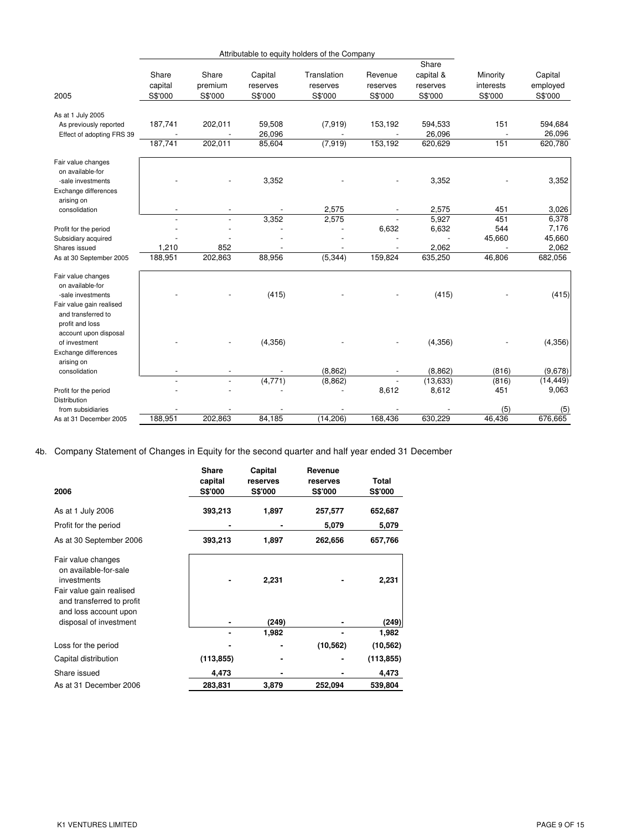|                                                                                            | Attributable to equity holders of the Company |                             |                                |                                    |                                |                                           |                                  |                                |
|--------------------------------------------------------------------------------------------|-----------------------------------------------|-----------------------------|--------------------------------|------------------------------------|--------------------------------|-------------------------------------------|----------------------------------|--------------------------------|
| 2005                                                                                       | Share<br>capital<br>S\$'000                   | Share<br>premium<br>S\$'000 | Capital<br>reserves<br>S\$'000 | Translation<br>reserves<br>S\$'000 | Revenue<br>reserves<br>S\$'000 | Share<br>capital &<br>reserves<br>S\$'000 | Minority<br>interests<br>S\$'000 | Capital<br>employed<br>S\$'000 |
| As at 1 July 2005                                                                          |                                               |                             |                                |                                    |                                |                                           |                                  |                                |
| As previously reported<br>Effect of adopting FRS 39                                        | 187,741                                       | 202,011                     | 59,508<br>26,096               | (7, 919)                           | 153,192                        | 594,533<br>26,096                         | 151                              | 594,684<br>26,096              |
|                                                                                            | 187,741                                       | 202,011                     | 85,604                         | (7,919)                            | 153,192                        | 620,629                                   | 151                              | 620,780                        |
| Fair value changes<br>on available-for<br>-sale investments                                |                                               |                             | 3,352                          |                                    |                                | 3,352                                     |                                  | 3,352                          |
| Exchange differences<br>arising on                                                         |                                               |                             |                                |                                    |                                |                                           |                                  |                                |
| consolidation                                                                              |                                               | $\overline{\phantom{a}}$    |                                | 2,575                              |                                | 2,575                                     | 451                              | 3,026                          |
|                                                                                            |                                               | $\overline{a}$              | 3,352                          | 2,575                              | $\overline{a}$                 | 5,927                                     | 451                              | 6,378                          |
| Profit for the period                                                                      |                                               |                             |                                |                                    | 6,632                          | 6,632                                     | 544                              | 7,176                          |
| Subsidiary acquired                                                                        |                                               |                             |                                |                                    |                                |                                           | 45,660                           | 45,660                         |
| Shares issued                                                                              | 1,210                                         | 852                         |                                |                                    |                                | 2,062                                     |                                  | 2,062                          |
| As at 30 September 2005                                                                    | 188,951                                       | 202,863                     | 88,956                         | (5, 344)                           | 159,824                        | 635,250                                   | 46,806                           | 682,056                        |
| Fair value changes<br>on available-for<br>-sale investments                                |                                               |                             | (415)                          |                                    |                                | (415)                                     |                                  | (415)                          |
| Fair value gain realised<br>and transferred to<br>profit and loss<br>account upon disposal |                                               |                             |                                |                                    |                                |                                           |                                  |                                |
| of investment                                                                              |                                               |                             | (4,356)                        |                                    |                                | (4,356)                                   |                                  | (4,356)                        |
| Exchange differences<br>arising on                                                         |                                               |                             |                                |                                    |                                |                                           |                                  |                                |
| consolidation                                                                              |                                               |                             |                                | (8, 862)                           |                                | (8, 862)                                  | (816)                            | (9,678)                        |
|                                                                                            |                                               | $\overline{a}$              | (4,771)                        | (8, 862)                           |                                | (13, 633)                                 | (816)                            | (14, 449)                      |
| Profit for the period                                                                      |                                               |                             |                                |                                    | 8,612                          | 8,612                                     | 451                              | 9,063                          |
| Distribution<br>from subsidiaries                                                          |                                               |                             |                                |                                    |                                |                                           | (5)                              | (5)                            |
| As at 31 December 2005                                                                     | 188.951                                       | 202.863                     | 84.185                         | (14.206)                           | 168.436                        | 630.229                                   | 46.436                           | 676.665                        |
|                                                                                            |                                               |                             |                                |                                    |                                |                                           |                                  |                                |

4b. Company Statement of Changes in Equity for the second quarter and half year ended 31 December

| 2006                                                                                                                                         | <b>Share</b><br>capital<br><b>S\$'000</b> | Capital<br>reserves<br><b>S\$'000</b> | Revenue<br>reserves<br><b>S\$'000</b> | Total<br><b>S\$'000</b> |
|----------------------------------------------------------------------------------------------------------------------------------------------|-------------------------------------------|---------------------------------------|---------------------------------------|-------------------------|
| As at 1 July 2006                                                                                                                            | 393,213                                   | 1,897                                 | 257,577                               | 652,687                 |
| Profit for the period                                                                                                                        |                                           |                                       | 5,079                                 | 5,079                   |
| As at 30 September 2006                                                                                                                      | 393,213                                   | 1,897                                 | 262,656                               | 657,766                 |
| Fair value changes<br>on available-for-sale<br>investments<br>Fair value gain realised<br>and transferred to profit<br>and loss account upon |                                           | 2,231                                 |                                       | 2,231                   |
| disposal of investment                                                                                                                       |                                           | (249)                                 |                                       | (249)                   |
|                                                                                                                                              |                                           | 1,982                                 |                                       | 1,982                   |
| Loss for the period                                                                                                                          |                                           |                                       | (10, 562)                             | (10, 562)               |
| Capital distribution                                                                                                                         | (113, 855)                                |                                       |                                       | (113, 855)              |
| Share issued                                                                                                                                 | 4,473                                     |                                       |                                       | 4,473                   |
| As at 31 December 2006                                                                                                                       | 283,831                                   | 3,879                                 | 252,094                               | 539,804                 |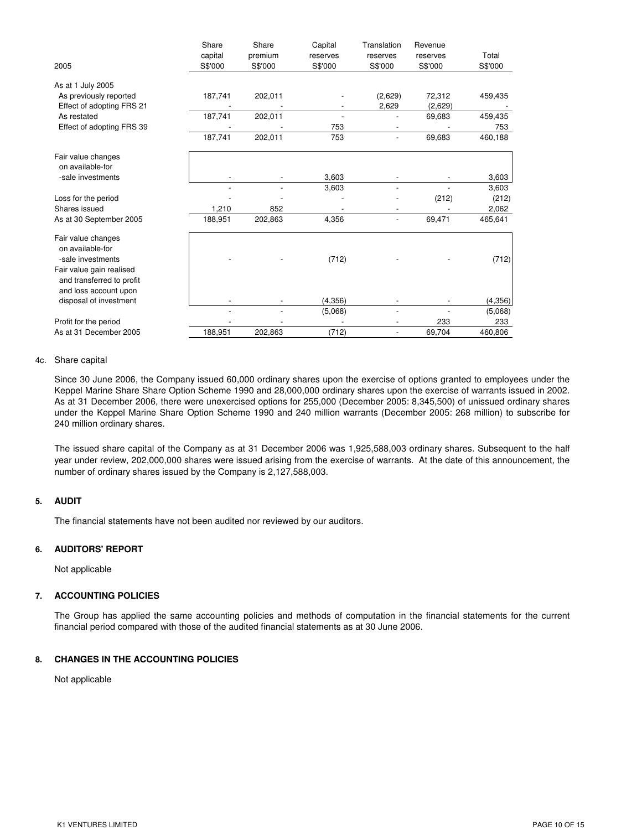| 2005                                                                           | Share<br>capital<br>S\$'000 | Share<br>premium<br>S\$'000 | Capital<br>reserves<br>S\$'000 | Translation<br>reserves<br>S\$'000 | Revenue<br>reserves<br>S\$'000 | Total<br>S\$'000 |
|--------------------------------------------------------------------------------|-----------------------------|-----------------------------|--------------------------------|------------------------------------|--------------------------------|------------------|
| As at 1 July 2005                                                              |                             |                             |                                |                                    |                                |                  |
| As previously reported                                                         | 187,741                     | 202,011                     |                                | (2,629)                            | 72,312                         | 459,435          |
| Effect of adopting FRS 21                                                      |                             |                             |                                | 2,629                              | (2,629)                        |                  |
| As restated                                                                    | 187,741                     | 202,011                     |                                |                                    | 69,683                         | 459,435          |
| Effect of adopting FRS 39                                                      |                             |                             | 753                            |                                    |                                | 753              |
|                                                                                | 187,741                     | 202,011                     | 753                            |                                    | 69,683                         | 460,188          |
| Fair value changes<br>on available-for                                         |                             |                             |                                |                                    |                                |                  |
| -sale investments                                                              |                             |                             | 3,603                          |                                    |                                | 3,603            |
|                                                                                |                             |                             | 3,603                          |                                    |                                | 3,603            |
| Loss for the period                                                            |                             |                             |                                |                                    | (212)                          | (212)            |
| Shares issued                                                                  | 1,210                       | 852                         |                                |                                    |                                | 2,062            |
| As at 30 September 2005                                                        | 188,951                     | 202,863                     | 4,356                          |                                    | 69,471                         | 465,641          |
| Fair value changes<br>on available-for<br>-sale investments                    |                             |                             | (712)                          |                                    |                                | (712)            |
| Fair value gain realised<br>and transferred to profit<br>and loss account upon |                             |                             |                                |                                    |                                |                  |
| disposal of investment                                                         |                             |                             | (4, 356)                       |                                    |                                | (4,356)          |
|                                                                                |                             |                             | (5,068)                        |                                    |                                | (5,068)          |
| Profit for the period                                                          |                             |                             |                                |                                    | 233                            | 233              |
| As at 31 December 2005                                                         | 188,951                     | 202,863                     | (712)                          | $\overline{\phantom{a}}$           | 69,704                         | 460,806          |

### 4c. Share capital

Since 30 June 2006, the Company issued 60,000 ordinary shares upon the exercise of options granted to employees under the Keppel Marine Share Share Option Scheme 1990 and 28,000,000 ordinary shares upon the exercise of warrants issued in 2002. As at 31 December 2006, there were unexercised options for 255,000 (December 2005: 8,345,500) of unissued ordinary shares under the Keppel Marine Share Option Scheme 1990 and 240 million warrants (December 2005: 268 million) to subscribe for 240 million ordinary shares.

The issued share capital of the Company as at 31 December 2006 was 1,925,588,003 ordinary shares. Subsequent to the half year under review, 202,000,000 shares were issued arising from the exercise of warrants. At the date of this announcement, the number of ordinary shares issued by the Company is 2,127,588,003.

### **5. AUDIT**

The financial statements have not been audited nor reviewed by our auditors.

# **6. AUDITORS' REPORT**

Not applicable

# **7. ACCOUNTING POLICIES**

The Group has applied the same accounting policies and methods of computation in the financial statements for the current financial period compared with those of the audited financial statements as at 30 June 2006.

# **8. CHANGES IN THE ACCOUNTING POLICIES**

Not applicable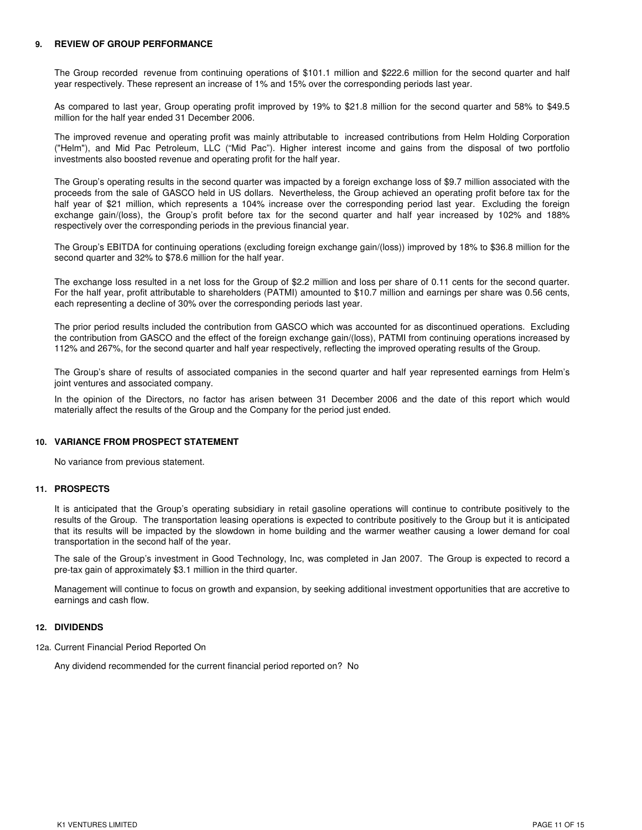### **9. REVIEW OF GROUP PERFORMANCE**

The Group recorded revenue from continuing operations of \$101.1 million and \$222.6 million for the second quarter and half year respectively. These represent an increase of 1% and 15% over the corresponding periods last year.

As compared to last year, Group operating profit improved by 19% to \$21.8 million for the second quarter and 58% to \$49.5 million for the half year ended 31 December 2006.

The improved revenue and operating profit was mainly attributable to increased contributions from Helm Holding Corporation ("Helm"), and Mid Pac Petroleum, LLC ("Mid Pac"). Higher interest income and gains from the disposal of two portfolio investments also boosted revenue and operating profit for the half year.

The Group's operating results in the second quarter was impacted by a foreign exchange loss of \$9.7 million associated with the proceeds from the sale of GASCO held in US dollars. Nevertheless, the Group achieved an operating profit before tax for the half year of \$21 million, which represents a 104% increase over the corresponding period last year. Excluding the foreign exchange gain/(loss), the Group's profit before tax for the second quarter and half year increased by 102% and 188% respectively over the corresponding periods in the previous financial year.

The Group's EBITDA for continuing operations (excluding foreign exchange gain/(loss)) improved by 18% to \$36.8 million for the second quarter and 32% to \$78.6 million for the half year.

The exchange loss resulted in a net loss for the Group of \$2.2 million and loss per share of 0.11 cents for the second quarter. For the half year, profit attributable to shareholders (PATMI) amounted to \$10.7 million and earnings per share was 0.56 cents, each representing a decline of 30% over the corresponding periods last year.

The prior period results included the contribution from GASCO which was accounted for as discontinued operations. Excluding the contribution from GASCO and the effect of the foreign exchange gain/(loss), PATMI from continuing operations increased by 112% and 267%, for the second quarter and half year respectively, reflecting the improved operating results of the Group.

The Group's share of results of associated companies in the second quarter and half year represented earnings from Helm's joint ventures and associated company.

In the opinion of the Directors, no factor has arisen between 31 December 2006 and the date of this report which would materially affect the results of the Group and the Company for the period just ended.

### **10. VARIANCE FROM PROSPECT STATEMENT**

No variance from previous statement.

### **11. PROSPECTS**

It is anticipated that the Group's operating subsidiary in retail gasoline operations will continue to contribute positively to the results of the Group. The transportation leasing operations is expected to contribute positively to the Group but it is anticipated that its results will be impacted by the slowdown in home building and the warmer weather causing a lower demand for coal transportation in the second half of the year.

The sale of the Group's investment in Good Technology, Inc, was completed in Jan 2007. The Group is expected to record a pre-tax gain of approximately \$3.1 million in the third quarter.

Management will continue to focus on growth and expansion, by seeking additional investment opportunities that are accretive to earnings and cash flow.

### **12. DIVIDENDS**

12a. Current Financial Period Reported On

Any dividend recommended for the current financial period reported on? No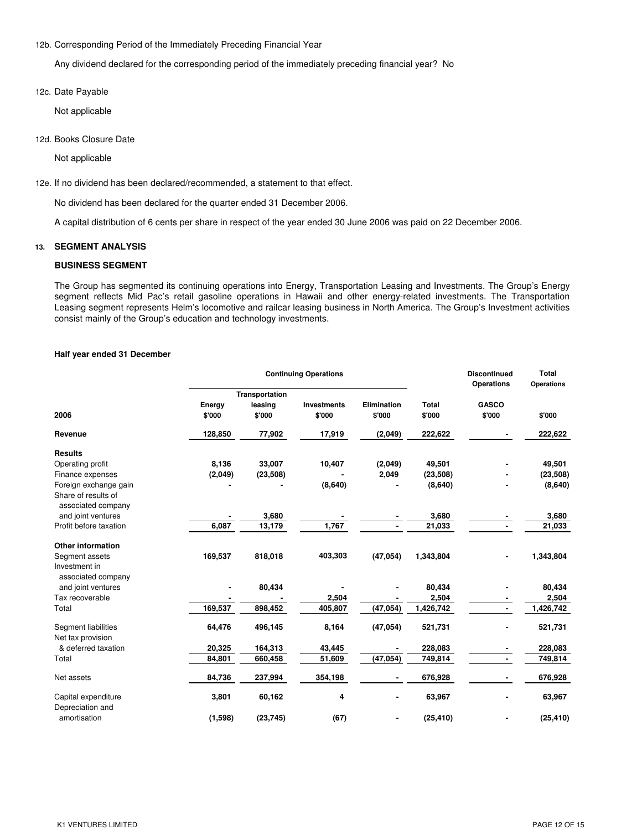### 12b. Corresponding Period of the Immediately Preceding Financial Year

Any dividend declared for the corresponding period of the immediately preceding financial year? No

12c. Date Payable

Not applicable

12d. Books Closure Date

Not applicable

12e. If no dividend has been declared/recommended, a statement to that effect.

No dividend has been declared for the quarter ended 31 December 2006.

A capital distribution of 6 cents per share in respect of the year ended 30 June 2006 was paid on 22 December 2006.

### **13. SEGMENT ANALYSIS**

### **BUSINESS SEGMENT**

The Group has segmented its continuing operations into Energy, Transportation Leasing and Investments. The Group's Energy segment reflects Mid Pac's retail gasoline operations in Hawaii and other energy-related investments. The Transportation Leasing segment represents Helm's locomotive and railcar leasing business in North America. The Group's Investment activities consist mainly of the Group's education and technology investments.

#### **Half year ended 31 December**

|                                           |                  |                                     | <b>Continuing Operations</b> |                              |                        | <b>Discontinued</b><br><b>Operations</b> | <b>Total</b><br>Operations |  |
|-------------------------------------------|------------------|-------------------------------------|------------------------------|------------------------------|------------------------|------------------------------------------|----------------------------|--|
| 2006                                      | Energy<br>\$'000 | Transportation<br>leasing<br>\$'000 | <b>Investments</b><br>\$'000 | <b>Elimination</b><br>\$'000 | <b>Total</b><br>\$'000 | <b>GASCO</b><br>\$'000                   | \$'000                     |  |
| Revenue                                   | 128,850          | 77,902                              | 17,919                       | (2,049)                      | 222,622                |                                          | 222,622                    |  |
| <b>Results</b>                            |                  |                                     |                              |                              |                        |                                          |                            |  |
| Operating profit                          | 8,136            | 33,007                              | 10,407                       | (2,049)                      | 49,501                 |                                          | 49,501                     |  |
| Finance expenses                          | (2,049)          | (23, 508)                           |                              | 2,049                        | (23, 508)              |                                          | (23, 508)                  |  |
| Foreign exchange gain                     |                  |                                     | (8,640)                      |                              | (8,640)                |                                          | (8,640)                    |  |
| Share of results of<br>associated company |                  |                                     |                              |                              |                        |                                          |                            |  |
| and joint ventures                        |                  | 3,680                               |                              |                              | 3,680                  |                                          | 3,680                      |  |
| Profit before taxation                    | 6,087            | 13,179                              | 1,767                        |                              | $\overline{2}1,033$    |                                          | 21,033                     |  |
| <b>Other information</b>                  |                  |                                     |                              |                              |                        |                                          |                            |  |
| Segment assets                            | 169,537          | 818,018                             | 403,303                      | (47, 054)                    | 1,343,804              |                                          | 1,343,804                  |  |
| Investment in<br>associated company       |                  |                                     |                              |                              |                        |                                          |                            |  |
| and joint ventures                        |                  | 80,434                              |                              |                              | 80,434                 |                                          | 80,434                     |  |
| Tax recoverable                           |                  |                                     | 2,504                        |                              | 2,504                  |                                          | 2,504                      |  |
| Total                                     | 169,537          | 898,452                             | 405,807                      | (47, 054)                    | 1,426,742              | $\blacksquare$                           | 1,426,742                  |  |
| Segment liabilities<br>Net tax provision  | 64,476           | 496,145                             | 8,164                        | (47, 054)                    | 521,731                |                                          | 521,731                    |  |
| & deferred taxation                       | 20,325           | 164,313                             | 43,445                       |                              | 228,083                |                                          | 228,083                    |  |
| Total                                     | 84,801           | 660,458                             | 51,609                       | (47, 054)                    | 749,814                | ä,                                       | 749,814                    |  |
| Net assets                                | 84,736           | 237,994                             | 354,198                      |                              | 676,928                | ٠                                        | 676,928                    |  |
| Capital expenditure<br>Depreciation and   | 3,801            | 60,162                              | 4                            |                              | 63,967                 | ä,                                       | 63,967                     |  |
| amortisation                              | (1,598)          | (23, 745)                           | (67)                         |                              | (25, 410)              |                                          | (25, 410)                  |  |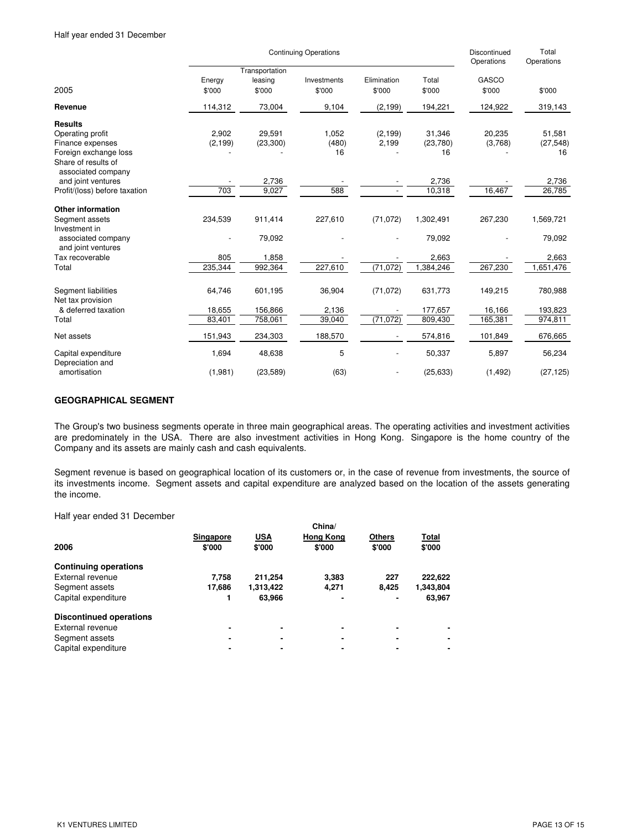|                                           |                  | <b>Continuing Operations</b>        |                       | Discontinued<br>Operations | Total<br>Operations |                 |           |
|-------------------------------------------|------------------|-------------------------------------|-----------------------|----------------------------|---------------------|-----------------|-----------|
| 2005                                      | Energy<br>\$'000 | Transportation<br>leasing<br>\$'000 | Investments<br>\$'000 | Elimination<br>\$'000      | Total<br>\$'000     | GASCO<br>\$'000 | \$'000    |
| Revenue                                   | 114,312          | 73,004                              | 9,104                 | (2, 199)                   | 194,221             | 124,922         | 319,143   |
| <b>Results</b>                            |                  |                                     |                       |                            |                     |                 |           |
| Operating profit                          | 2,902            | 29,591                              | 1,052                 | (2, 199)                   | 31,346              | 20,235          | 51,581    |
| Finance expenses                          | (2, 199)         | (23, 300)                           | (480)                 | 2,199                      | (23,780)            | (3,768)         | (27, 548) |
| Foreign exchange loss                     |                  |                                     | 16                    |                            | 16                  |                 | 16        |
| Share of results of<br>associated company |                  |                                     |                       |                            |                     |                 |           |
| and joint ventures                        |                  | 2,736                               |                       |                            | 2,736               |                 | 2,736     |
| Profit/(loss) before taxation             | 703              | 9,027                               | 588                   |                            | 10,318              | 16,467          | 26,785    |
|                                           |                  |                                     |                       |                            |                     |                 |           |
| <b>Other information</b>                  |                  |                                     |                       |                            |                     |                 |           |
| Segment assets                            | 234,539          | 911,414                             | 227,610               | (71, 072)                  | 1,302,491           | 267,230         | 1,569,721 |
| Investment in                             |                  |                                     |                       |                            |                     |                 |           |
| associated company<br>and joint ventures  |                  | 79,092                              |                       |                            | 79,092              |                 | 79,092    |
| Tax recoverable                           | 805              | 1,858                               |                       |                            | 2,663               |                 | 2,663     |
| Total                                     | 235,344          | 992,364                             | 227,610               | (71, 072)                  | 1,384,246           | 267,230         | 1,651,476 |
|                                           |                  |                                     |                       |                            |                     |                 |           |
| Segment liabilities                       | 64,746           | 601,195                             | 36,904                | (71, 072)                  | 631,773             | 149,215         | 780,988   |
| Net tax provision                         |                  |                                     |                       |                            |                     |                 |           |
| & deferred taxation                       | 18,655           | 156,866                             | 2,136                 |                            | 177,657             | 16,166          | 193,823   |
| Total                                     | 83,401           | 758,061                             | 39,040                | (71, 072)                  | 809,430             | 165,381         | 974,811   |
| Net assets                                | 151,943          | 234,303                             | 188,570               |                            | 574,816             | 101,849         | 676,665   |
| Capital expenditure<br>Depreciation and   | 1,694            | 48,638                              | 5                     |                            | 50,337              | 5,897           | 56,234    |
| amortisation                              | (1,981)          | (23, 589)                           | (63)                  |                            | (25, 633)           | (1, 492)        | (27, 125) |

# **GEOGRAPHICAL SEGMENT**

The Group's two business segments operate in three main geographical areas. The operating activities and investment activities are predominately in the USA. There are also investment activities in Hong Kong. Singapore is the home country of the Company and its assets are mainly cash and cash equivalents.

Segment revenue is based on geographical location of its customers or, in the case of revenue from investments, the source of its investments income. Segment assets and capital expenditure are analyzed based on the location of the assets generating the income.

Half year ended 31 December

|                            |                      | China/                     |                         |                 |
|----------------------------|----------------------|----------------------------|-------------------------|-----------------|
| <b>Singapore</b><br>\$'000 | <b>USA</b><br>\$'000 | <b>Hong Kong</b><br>\$'000 | <b>Others</b><br>\$'000 | Total<br>\$'000 |
|                            |                      |                            |                         |                 |
| 7.758                      | 211.254              | 3.383                      | 227                     | 222.622         |
| 17.686                     | 1,313,422            | 4,271                      | 8.425                   | 1,343,804       |
|                            | 63.966               |                            | ۰                       | 63.967          |
|                            |                      |                            |                         |                 |
| ۰                          |                      | ٠                          |                         |                 |
|                            |                      |                            | ۰                       |                 |
|                            |                      |                            |                         |                 |
|                            |                      |                            |                         |                 |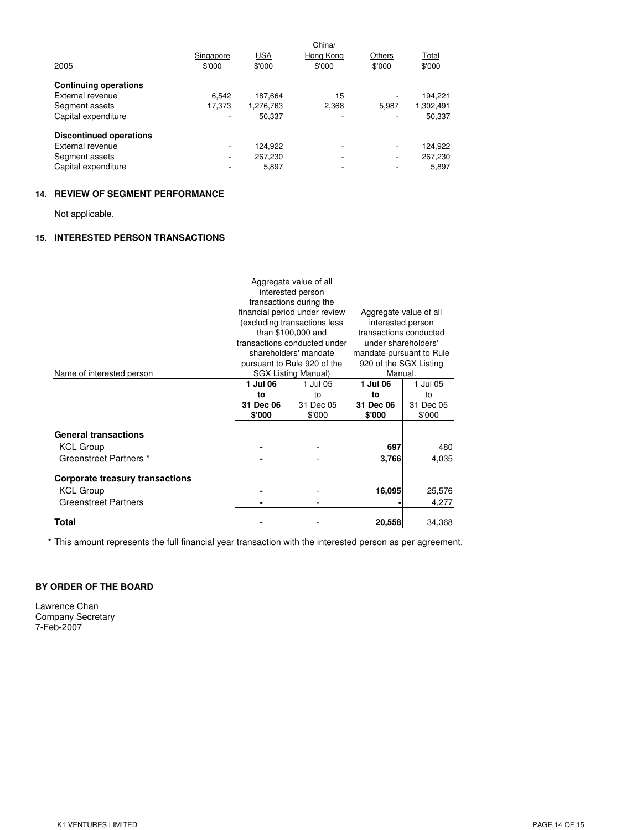|                                | Singapore                | USA       | China/<br>Hong Kong      | Others | Total     |
|--------------------------------|--------------------------|-----------|--------------------------|--------|-----------|
| 2005                           | \$'000                   | \$'000    | \$'000                   | \$'000 | \$'000    |
| <b>Continuing operations</b>   |                          |           |                          |        |           |
| External revenue               | 6.542                    | 187.664   | 15                       |        | 194.221   |
| Segment assets                 | 17.373                   | 1,276,763 | 2,368                    | 5.987  | 1,302,491 |
| Capital expenditure            | $\overline{\phantom{0}}$ | 50.337    | -                        |        | 50,337    |
| <b>Discontinued operations</b> |                          |           |                          |        |           |
| External revenue               | $\overline{\phantom{0}}$ | 124.922   | $\overline{\phantom{0}}$ |        | 124.922   |
| Segment assets                 | $\overline{\phantom{a}}$ | 267.230   | $\overline{\phantom{a}}$ | ۰      | 267,230   |
| Capital expenditure            |                          | 5,897     | -                        | ٠      | 5.897     |

### **14. REVIEW OF SEGMENT PERFORMANCE**

Not applicable.

# **15. INTERESTED PERSON TRANSACTIONS**

|                                        |                     | Aggregate value of all<br>interested person |                          |                        |  |  |
|----------------------------------------|---------------------|---------------------------------------------|--------------------------|------------------------|--|--|
|                                        |                     | transactions during the                     |                          |                        |  |  |
|                                        |                     | financial period under review               |                          | Aggregate value of all |  |  |
|                                        |                     | (excluding transactions less                | interested person        |                        |  |  |
|                                        |                     | than \$100,000 and                          | transactions conducted   |                        |  |  |
|                                        |                     | transactions conducted under                | under shareholders'      |                        |  |  |
|                                        |                     | shareholders' mandate                       | mandate pursuant to Rule |                        |  |  |
|                                        |                     | pursuant to Rule 920 of the                 | 920 of the SGX Listing   |                        |  |  |
| Name of interested person              |                     | <b>SGX Listing Manual)</b>                  | Manual.                  |                        |  |  |
|                                        | 1 Jul 06            | 1 Jul 05                                    | 1 Jul 06                 | 1 Jul 05               |  |  |
|                                        | to                  | to                                          | to                       | to                     |  |  |
|                                        | 31 Dec 06<br>\$'000 | 31 Dec 05<br>\$'000                         | 31 Dec 06<br>\$'000      | 31 Dec 05<br>\$'000    |  |  |
|                                        |                     |                                             |                          |                        |  |  |
| <b>General transactions</b>            |                     |                                             |                          |                        |  |  |
| <b>KCL Group</b>                       |                     |                                             | 697                      | 480                    |  |  |
| Greenstreet Partners *                 |                     |                                             | 3,766                    | 4,035                  |  |  |
|                                        |                     |                                             |                          |                        |  |  |
| <b>Corporate treasury transactions</b> |                     |                                             |                          |                        |  |  |
| <b>KCL Group</b>                       |                     |                                             | 16,095                   | 25,576                 |  |  |
| <b>Greenstreet Partners</b>            |                     |                                             |                          | 4,277                  |  |  |
|                                        |                     |                                             |                          |                        |  |  |
| Total                                  |                     |                                             | 20,558                   | 34,368                 |  |  |

\* This amount represents the full financial year transaction with the interested person as per agreement.

### **BY ORDER OF THE BOARD**

Lawrence Chan Company Secretary 7-Feb-2007